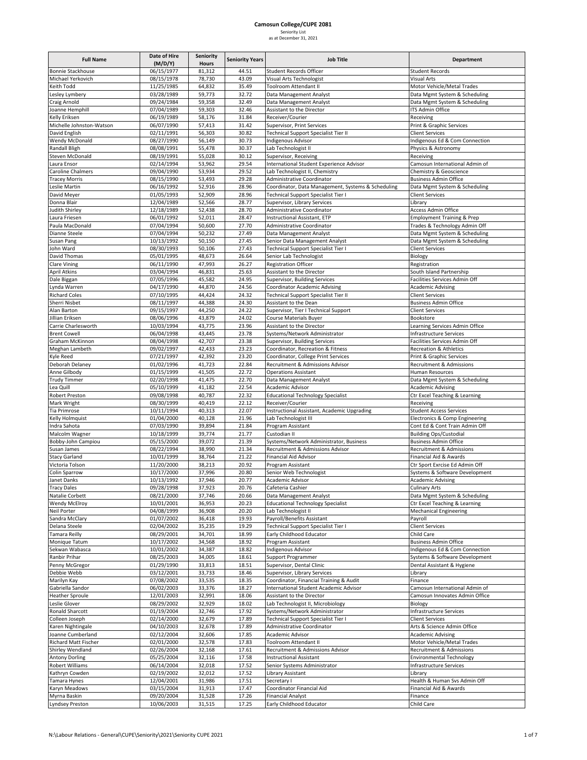### **Full Name Date of Hire (M/D/Y) Seniority Hours Seniority Years Job Title Department** Bonnie Stackhouse **1888 181,312 5 Student Records Officer** Student Records Officer Student Records Officer Student Records Officer Student Records Officer Student Records Officer Student Records Officer Student Records Off Michael Yerkovich 08/15/1978 78,730 43.09 Visual Arts Technologist Visual Arts Keith Todd<br>
11/25/1985 64,832 35.49 Toolroom Attendant II Motor Vehicle/Metal Trades<br>
1972/1989 59.773 32.72 Data Management Analyst Lesley Lymbery **1988** 1987/28/1989 59,773 32.72 Data Management Analyst Data Mgmt System & Scheduling Craig Arnold **19/24/1984** 59,358 32.49 Data Management Analyst Data Management Analyst Data Mgmt System & Scheduling<br>
1988 1999 109/04/1989 59.303 32.46 Assistant to the Director CITS Admin Office Joanne Hemphill 07/04/1989 59,303 32.46 Assistant to the Director ITS Admin Office Kelly Eriksen **18. In the COM** COMPUTER 18,176 188,176 Receiver Assembly Eriksen Receiving Michelle Johnston-Watson 1990 06/07/1990 57,413 31.42 Supervisor, Print Services Print & Graphic Services David English Client Services 30.82 Technical Support Specialist Tier II Client Services Wendy McDonald 199/27/1990 56,149 30.73 Indigenous Advisor 10 Indigenous Ed & Com Connection<br>1990 1991 1991 1992 1994 55.478 30.37 Lab Technologist II Physics & Astronomy 08/08/1991 55,478 30.37 Lab Technologist II Physics & Astronomy Steven McDonald 1992 08/19/1991 55,028 30.12 Supervisor, Receiving Receiving Receiving<br>
1992 1994 53.962 29.54 International Student Experience Advisor Campsun 02/14/1994 53,962 29.54 International Student Experience Advisor Camosun International Admin of 09/04/1990 53,934 29.52 Lab Technologist II, Chemistry Caroline Chalmers 09/04/1990 53,934 29.52 Lab Technologist II, Chemistry Chemistry Chemistry Chemistry Chemistry Chemistry Chemistry Chemistry Chemistry Chemistry Chemistry Chemistry Chemistry Chemistry Chemistry Chemistry Tracey Morris **198/15/1990** 53,493 29.28 Administrative Coordinator Business Admin Office Leslie Martin **18. In the Coordinator Coordinator**, Data Management, Systems & Scheduling Data Mgmt System & Scheduling David Meyer 201/05/1993 52,909 28.96 Technical Support Specialist Tier I Client Services<br>
201/04/1989 52,566 28.77 Supervisor, Library Services Library Support Specialist Tier I Donna Blair 12/04/1989 52,566 28.77 Supervisor, Library Services Library Library Services Library Library Communistry Library 2017 12/18/1989 52,438 28.70 Administrative Coordinator Access Admin Office Administrative Coordinator Laura Friesen **18.2000 1992 128.47** Instructional Assistant, ETP 19.1 Comployment Training & Prep<br>1991 128.47 Paula MacDonald 197/04/1994 50,600 27.70 Administrative Coordinator 19.1 Trades & Technology Admin 07/04/1994 50,600 27.70 Administrative Coordinator Trades & Technology Admin Off<br>07/04/1994 50,232 27.49 Data Management Analyst Data Man System & Schedulin Dianne Steele **17/04/1994 50,232** 27.49 Data Management Analyst Data Management Analyst Data Mgmt System & Scheduling Susan Pang 10/13/1992 50,150 27.45 Senior Data Management Analyst Data Mgmt System & Scheduling<br>1991 10-10 08/30/1993 50,106 27.43 Technical Support Specialist Tier I Client Services John Ward 08/30/1993 50,106 27.43 Technical Support Specialist Tier I Client Services David Thomas 05/01/1995 48,673 26.64 Senior Lab Technologist Biology Clare Vining Clare Clare Clare Control of the Clare Vining Clare Clare Clare Control of the Registration Officer Registration Officer Registration Officer Registration Officer Registration Officer Registration Officer Regi April Atkins 2010/04/1994 46,831 25.63 Assistant to the Director South Island Partnership<br>
2010/05/1996 45.582 24.95 Supervisor. Building Services Santa Partnership Dale Biggan 1996 107/05/1996 45,582 24.95 Supervisor, Building Services Facilities Services Admin Off Lynda Warren 04/17/1990 44,870 24.56 Coordinator Academic Advising Academic Advising Richard Coles **18.22 Client Services** 197/10/1995 44,424 24.32 Technical Support Specialist Tier II Client Services Sherri Nisbet **1** 08/11/1997 44,388 24.30 Assistant to the Dean Business Admin Office Alan Barton **19/15/1997** 1997 44,250 24.22 Supervisor, Tier I Technical Support Client Services<br>
1999 1999 1996 1996 43.879 24.02 Course Materials Buver Client Services 08/06/1996 43,879 24.02 Course Materials Buyer Bookstore Carrie Charlesworth 10/03/1994 43,775 23.96 Assistant to the Director Learning Services Admin Office Brent Cowell 06/04/1998 43,445 23.78 Systems/Network Administrator Infrastructure Services<br>Graham McKinnon 08/04/1998 42,707 23.38 Supervisor, Building Services Facilities Services Adm Supervisor, Building Services **Admin Off Facilities Services Admin Off** Meghan Lambeth 19/02/1997 42,433 23.23 Coordinator, Recreation & Fitness Recreation & Athletics<br>19/02/1997 42.392 23.20 Coordinator, College Print Services Print & Granbic Service Exple Reed 27/21/1997 42,392 23.20 Coordinator, College Print Services Print & Graphic Services Print & Graphic Services Print & Graphic Services Print & Admissions Admissions Admissions Admissions Admissions Admissions Ad Deborah Delaney 01/02/1996 41,723 22.84 Recruitment & Admissions Advisor Anne Gilbody **12.12.1999 12.72 Communished Anne Gilbody** Human Resources **Anne Gilbody** Human Resources Trudy Timmer **1988** 12/20/1998 141,475 22.70 Data Management Analyst Data Management Consumer Data Mgmt System & Scheduling Lea Quill 05/10/1999 41,182 22.54 Academic Advisor Academic Advisor Academic Advising<br>Robert Preston 09/08/1998 40,787 22.32 Educational Technology Specialist Ctr Excel Teaching Robert Preston **1999/08/1998** 40,787 22.32 Educational Technology Specialist Ctr Excel Teaching & Learning Mark Wright **1988 COM** 1998 40,419 22.12 Receiver/Courier Receiver Courier Receiver Receiving<br>Tia Primrose 10/11/1994 40.313 22.07 Instructional Assistant. Academic Uperadine Student Access Services nstructional Assistant, Academic Upgrading Kelly Holmquist 1992 101/04/2000 40,128 21.96 Lab Technologist III Electronics & Comp Engineering<br>
1999 1999 1998 100 Program Assistant 1996 100 Cont Ed & Cont Train Admin Off Indra Sahota 07/03/1990 39,894 21.84 Program Assistant Cont Ed & Cont Train Admin Off Malcolm Wagner 10/18/1999 | 39,774 | 21.77 | Custodian II Building Ops/Custodial Bobby‐John Campiou 05/15/2000 39,072 21.39 Systems/Network Administrator, Business Business Admin Office Susan James Cames 198/22/1994 38.990 21.34 Recruitment & Admissions Advisor Recruitment & Admissions Stacy Garland 10/01/1999 38,764 21.22 Financial Aid Advisor Financial Aid & Awards Victoria Tolson 11/20/2000 38,213 20.92 Program Assistant Ctr Sport Exrcise Ed Admin Off Colin Sparrow 10/17/2000 37,996 20.80 Senior Web Technologist Systems & Software Development<br>
10/13/1992 37.946 20.77 Academic Advisor Systems & Software Development Janet Danks 10/13/1992 37,946 20.77 Academic Advisor Academic Advising Academic Advising Tracy Dales 09/28/1998 37,923 20.76 Cafeteria Cashier Culinary Arts Natalie Corbett **18/21/2000** 37,746 20.66 Data Management Analyst Data Mgmt System & Scheduling Wendy McElroy 10/01/2001 36,953 20.23 Educational Technology Specialist Ctr Excel Teaching & Learning 2012 2013<br>
Neil Porter Ctr Excel Teaching & Learning 1999 36,908 20.20 Lab Technologist II Neil Porter **1988** 20.20 Lab Technologist II Mechanical Engineering 1999 36,908 20.20 Lab Technologist II Mechanical Engineering Sandra McClary 01/07/2002 36,418 19.93 Payroll/Benefits Assistant Payroll Delana Steele **12.2002** 02/04/2002 35,235 19.29 Technical Support Specialist Tier I Client Services Tamara Reilly **18.19 Community** 08/29/2001 34,701 18.99 Early Childhood Educator Child Care Monique Tatum 10/17/2002 | 34,568 | 18.92 Program Assistant 18.92 Proster and Business Admin Office Sekwan Wabasca **10/01/2002** 34,387 18.82 Indigenous Advisor **Indigenous Ed & Com Connection**<br>Ranbir Prihar (1997) 8/925/2003 194,005 18.61 Support Programmer Ranbir Prihar **1982-2003** 1992-2003 24,005 18.61 Support Programmer Systems & Software Development Systems & Software Development Systems & Software Development Christian Christian Christian Systems & Software Development Penny McGregor **18.51** 01/29/1990 33,813 18.51 Supervisor, Dental Clinic **Dental Assistant & Hygiene** Debbie Webb 03/12/2001 33,733 18.46 Supervisor, Library Services Library Marilyn Kay 07/08/2002 33,535 18.35 Coordinator, Financial Training & Audit Finance Gabriella Sandor **18.27** International Student Academic Advisor Camosun International Admin of Camosun International Admin of Camosun International Admin of Camosun International Admin of Camosun Innovates Admin Office Heather Sproule 12/01/2003 32,991 18.06 Assistant to the Director Camosun Innovates Admin Office Leslie Glover 198/29/2002 32,929 18.02 Lab Technologist II, Microbiology 18.00 18.002 Lab Technologist II, Microbiology 18.002 18.002 18.000 19.19.12.004 18.02 17.92 18.02 18.000 18.000 18.000 18.000 18.000 18.000 18.000 1 Ronald Sharcott **19/2004** 32.746 17.92 Systems/Network Administrator **Infrastructure Services** Colleen Joseph 02/14/2000 32,679 17.89 Technical Support Specialist Tier I Client Services Karen Nightingale **18.12 12.4 17.89** Administrative Coordinator 17.89 Arts & Science Admin Office Joanne Cumberland 1982 | 02/12/2004 | 32,606 | 17.85 Academic Advisor | Academic Advising Richard Matt Fischer **19** 102/01/2000 32.578 17.83 Toolroom Attendant II Motor Vehicle/Metal Trades Shirley Wendland 02/26/2004 32,168 17.61 Recruitment & Admissions Advisor<br>Antony Dorling 05/25/2004 32.116 17.58 Instructional Assistant Environmental Technology 05/25/2004 32,116 17.58 Instructional Assistant Environmental Technology Robert Williams 1988 196/14/2004 32.018 17.52 Senior Systems Administrator Infrastructure Services Kathryn Cowden 1988 1992/19/2002 32,012 17.52 Library Assistant 1998 1998 1999 Tamara Hynes 12/04/2001 31,986 17.51 Secretary I Health & Human Svs Admin Off<br>
12/04/2001 31,913 17.47 Coordinator Financial Aid 03/15/2004 31,913 17.47 Coordinator Financial Aid Myrna Baskin 09/20/2004 31,528 17.26 Financial Analyst Finance

Lyndsey Preston 10/06/2003 31,515 17.25 Early Childhood Educator Child Care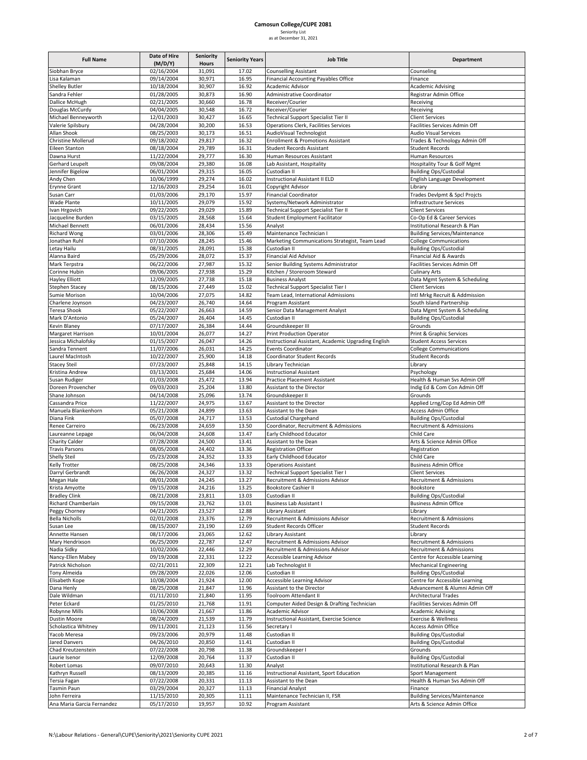| as at December 31, 202 |  |  |
|------------------------|--|--|

| <b>Full Name</b>                           | Date of Hire<br>(M/D/Y)              | <b>Seniority</b><br>Hours | <b>Seniority Years</b> | <b>Job Title</b>                                                               | Department                                                      |
|--------------------------------------------|--------------------------------------|---------------------------|------------------------|--------------------------------------------------------------------------------|-----------------------------------------------------------------|
| Siobhan Bryce                              | 02/16/2004                           | 31,091                    | 17.02                  | <b>Counselling Assistant</b>                                                   | Counseling                                                      |
| Lisa Kalaman                               | 09/14/2004                           | 30,971                    | 16.95                  | Financial Accounting Payables Office                                           | Finance                                                         |
| <b>Shelley Butler</b><br>Sandra Fehler     | 10/18/2004<br>01/28/2005             | 30,907                    | 16.92                  | Academic Advisor<br>Administrative Coordinator                                 | <b>Academic Advising</b>                                        |
| Dallice McHugh                             | 02/21/2005                           | 30,873<br>30,660          | 16.90<br>16.78         | Receiver/Courier                                                               | Registrar Admin Office<br>Receiving                             |
| Douglas McCurdy                            | 04/04/2005                           | 30,548                    | 16.72                  | Receiver/Courier                                                               | Receiving                                                       |
| Michael Benneyworth                        | 12/01/2003                           | 30,427                    | 16.65                  | Technical Support Specialist Tier II                                           | <b>Client Services</b>                                          |
| Valerie Spilsbury                          | 04/28/2004                           | 30,200                    | 16.53                  | Operations Clerk, Facilities Services                                          | Facilities Services Admin Off                                   |
| Allan Shook<br>Christine Mollerud          | 08/25/2003<br>09/18/2002             | 30,173<br>29,817          | 16.51<br>16.32         | AudioVisual Technologist<br><b>Enrollment &amp; Promotions Assistant</b>       | <b>Audio Visual Services</b><br>Trades & Technology Admin Off   |
| Eileen Stanton                             | 08/18/2004                           | 29,789                    | 16.31                  | Student Records Assistant                                                      | <b>Student Records</b>                                          |
| Dawna Hurst                                | 11/22/2004                           | 29,777                    | 16.30                  | Human Resources Assistant                                                      | Human Resources                                                 |
| Gerhard Leupelt                            | 09/08/2004                           | 29,380                    | 16.08                  | Lab Assistant, Hospitality                                                     | Hospitality Tour & Golf Mgmt                                    |
| Jennifer Bigelow                           | 06/01/2004                           | 29,315                    | 16.05                  | Custodian II                                                                   | <b>Building Ops/Custodial</b>                                   |
| Andy Chen<br>Erynne Grant                  | 10/06/1999<br>12/16/2003             | 29,274<br>29,254          | 16.02<br>16.01         | Instructional Assistant II ELD<br>Copyright Advisor                            | English Language Development<br>Library                         |
| Susan Carr                                 | 01/03/2006                           | 29,170                    | 15.97                  | <b>Financial Coordinator</b>                                                   | Trades Devlpmt & Spcl Projcts                                   |
| Wade Plante                                | 10/11/2005                           | 29,079                    | 15.92                  | Systems/Network Administrator                                                  | Infrastructure Services                                         |
| Ivan Hrgovich                              | 09/22/2005                           | 29,029                    | 15.89                  | Technical Support Specialist Tier II                                           | <b>Client Services</b>                                          |
| Jacqueline Burden<br>Michael Bennett       | 03/15/2005<br>06/01/2006             | 28,568<br>28,434          | 15.64<br>15.56         | Student Employment Facilitator<br>Analyst                                      | Co-Op Ed & Career Services<br>Institutional Research & Plan     |
| <b>Richard Wong</b>                        | 03/01/2006                           | 28,306                    | 15.49                  | Maintenance Technician I                                                       | <b>Building Services/Maintenance</b>                            |
| Jonathan Ruhl                              | 07/10/2006                           | 28,245                    | 15.46                  | Marketing Communications Strategist, Team Lead                                 | <b>College Communications</b>                                   |
| Letay Hailu                                | 08/31/2005                           | 28,091                    | 15.38                  | Custodian II                                                                   | <b>Building Ops/Custodial</b>                                   |
| Alanna Baird                               | 05/29/2006                           | 28,072                    | 15.37                  | Financial Aid Advisor                                                          | Financial Aid & Awards                                          |
| Mark Terpstra<br>Corinne Hubin             | 06/22/2006<br>09/06/2005             | 27,987<br>27,938          | 15.32<br>15.29         | Senior Building Systems Administrator<br>Kitchen / Storeroom Steward           | Facilities Services Admin Off<br><b>Culinary Arts</b>           |
| <b>Hayley Elliott</b>                      | 12/09/2005                           | 27,738                    | 15.18                  | <b>Business Analyst</b>                                                        | Data Mgmt System & Scheduling                                   |
| Stephen Stacey                             | 08/15/2006                           | 27,449                    | 15.02                  | Technical Support Specialist Tier I                                            | <b>Client Services</b>                                          |
| Sumie Morison                              | 10/04/2006                           | 27,075                    | 14.82                  | Team Lead, International Admissions                                            | Intl Mrkg Recruit & Addmission                                  |
| Charlene Joynson                           | 04/23/2007<br>05/22/2007             | 26,740<br>26,663          | 14.64<br>14.59         | Program Assistant                                                              | South Island Partnership                                        |
| Teresa Shook<br>Mark D'Antonio             | 05/24/2007                           | 26,404                    | 14.45                  | Senior Data Management Analyst<br>Custodian II                                 | Data Mgmt System & Scheduling<br><b>Building Ops/Custodial</b>  |
| Kevin Blaney                               | 07/17/2007                           | 26,384                    | 14.44                  | Groundskeeper III                                                              | Grounds                                                         |
| Margaret Harrison                          | 10/01/2004                           | 26,077                    | 14.27                  | Print Production Operator                                                      | Print & Graphic Services                                        |
| Jessica Michalofsky                        | 01/15/2007                           | 26,047                    | 14.26                  | Instructional Assistant, Academic Upgrading English                            | <b>Student Access Services</b>                                  |
| Sandra Tennent<br>Laurel MacIntosh         | 11/07/2006<br>10/22/2007             | 26,031<br>25,900          | 14.25<br>14.18         | <b>Events Coordinator</b><br>Coordinator Student Records                       | <b>College Communications</b><br><b>Student Records</b>         |
| <b>Stacey Steil</b>                        | 07/23/2007                           | 25,848                    | 14.15                  | Library Technician                                                             | Library                                                         |
| Kristina Andrew                            | 03/13/2001                           | 25,684                    | 14.06                  | <b>Instructional Assistant</b>                                                 | Psychology                                                      |
| Susan Rudiger                              | 01/03/2008                           | 25,472                    | 13.94                  | <b>Practice Placement Assistant</b>                                            | Health & Human Svs Admin Off                                    |
| Doreen Provencher<br>Shane Johnson         | 09/03/2003                           | 25,204<br>25,096          | 13.80                  | Assistant to the Director                                                      | Indig Ed & Com Con Admin Off<br>Grounds                         |
| Cassandra Price                            | 04/14/2008<br>11/22/2007             | 24,975                    | 13.74<br>13.67         | Groundskeeper II<br>Assistant to the Director                                  | Applied Lrng/Cop Ed Admin Off                                   |
| Manuela Blankenhorn                        | 05/21/2008                           | 24,899                    | 13.63                  | Assistant to the Dean                                                          | Access Admin Office                                             |
| Diana Fink                                 | 05/07/2008                           | 24,717                    | 13.53                  | Custodial Chargehand                                                           | <b>Building Ops/Custodial</b>                                   |
| Renee Carreiro                             | 06/23/2008<br>06/04/2008             | 24,659                    | 13.50                  | Coordinator, Recruitment & Admissions                                          | Recruitment & Admissions<br>Child Care                          |
| Laureanne Lepage<br><b>Charity Calder</b>  | 07/28/2008                           | 24,608<br>24,500          | 13.47<br>13.41         | Early Childhood Educator<br>Assistant to the Dean                              | Arts & Science Admin Office                                     |
| <b>Travis Parsons</b>                      | 08/05/2008                           | 24,402                    | 13.36                  | <b>Registration Officer</b>                                                    | Registration                                                    |
| <b>Shelly Steil</b>                        | 05/23/2008                           | 24,352                    | 13.33                  | Early Childhood Educator                                                       | Child Care                                                      |
| Kelly Trotter                              | 08/25/2008                           | 24,346                    | 13.33                  | <b>Operations Assistant</b>                                                    | <b>Business Admin Office</b>                                    |
| Darryl Gerbrandt<br>Megan Hale             | 06/26/2008<br>08/01/2008             | 24,327<br>24,245          | 13.32<br>13.27         | <b>Technical Support Specialist Tier I</b><br>Recruitment & Admissions Advisor | <b>Client Services</b><br>Recruitment & Admissions              |
| Krista Amyotte                             | 09/15/2008                           | 24,216                    | 13.25                  | <b>Bookstore Cashier II</b>                                                    | Bookstore                                                       |
| <b>Bradley Clink</b>                       | 08/21/2008                           | 23,811                    | 13.03                  | Custodian II                                                                   | <b>Building Ops/Custodial</b>                                   |
| Richard Chamberlain                        | 09/15/2008                           | 23,762                    | 13.01                  | <b>Business Lab Assistant I</b>                                                | <b>Business Admin Office</b>                                    |
| Peggy Chorney<br><b>Bella Nicholls</b>     | 04/21/2005<br>02/01/2008             | 23,527<br>23,376          | 12.88<br>12.79         | Library Assistant<br>Recruitment & Admissions Advisor                          | Library<br>Recruitment & Admissions                             |
| Susan Lee                                  | 08/15/2007                           | 23,190                    | 12.69                  | <b>Student Records Officer</b>                                                 | <b>Student Records</b>                                          |
| Annette Hansen                             | 08/17/2006                           | 23,065                    | 12.62                  | Library Assistant                                                              | Library                                                         |
| Mary Hendrixson                            | 06/25/2009                           | 22,787                    | 12.47                  | Recruitment & Admissions Advisor                                               | Recruitment & Admissions                                        |
| Nadia Sidky                                | 10/02/2006                           | 22,446                    | 12.29                  | Recruitment & Admissions Advisor                                               | Recruitment & Admissions                                        |
| Nancy-Ellen Mabey<br>Patrick Nicholson     | $\frac{1}{09}/19/2008$<br>02/21/2011 | 22,331<br>22,309          | 12.22<br>12.21         | Accessible Learning Advisor<br>Lab Technologist II                             | Centre for Accessible Learning<br><b>Mechanical Engineering</b> |
| <b>Tony Almeida</b>                        | 09/28/2009                           | 22,026                    | 12.06                  | Custodian II                                                                   | <b>Building Ops/Custodial</b>                                   |
| Elisabeth Kope                             | 10/08/2004                           | 21,924                    | 12.00                  | Accessible Learning Advisor                                                    | Centre for Accessible Learning                                  |
| Dana Henly                                 | 08/25/2008                           | 21,847                    | 11.96                  | Assistant to the Director                                                      | Advancement & Alumni Admin Off                                  |
| Dale Wildman<br>Peter Eckard               | 01/11/2010<br>01/25/2010             | 21,840<br>21,768          | 11.95<br>11.91         | Toolroom Attendant II                                                          | <b>Architectural Trades</b><br>Facilities Services Admin Off    |
| Robynne Mills                              | 10/06/2008                           | 21,667                    | 11.86                  | Computer Aided Design & Drafting Technician<br><b>Academic Advisor</b>         | <b>Academic Advising</b>                                        |
| <b>Dustin Moore</b>                        | 08/24/2009                           | 21,539                    | 11.79                  | Instructional Assistant, Exercise Science                                      | <b>Exercise &amp; Wellness</b>                                  |
| Scholastica Whitney                        | 09/11/2001                           | 21,123                    | 11.56                  | Secretary I                                                                    | <b>Access Admin Office</b>                                      |
| Yacob Meresa                               | 09/23/2006                           | 20,979                    | 11.48                  | Custodian II                                                                   | <b>Building Ops/Custodial</b>                                   |
| <b>Jared Danvers</b><br>Chad Kreutzenstein | 04/26/2010<br>07/22/2008             | 20,850<br>20,798          | 11.41<br>11.38         | Custodian II<br>Groundskeeper I                                                | <b>Building Ops/Custodial</b><br>Grounds                        |
| Laurie Isenor                              | 12/09/2008                           | 20,764                    | 11.37                  | Custodian II                                                                   | <b>Building Ops/Custodial</b>                                   |
| Robert Lomas                               | 09/07/2010                           | 20,643                    | 11.30                  | Analyst                                                                        | Institutional Research & Plan                                   |
| Kathryn Russell                            | 08/13/2009                           | 20,385                    | 11.16                  | Instructional Assistant, Sport Education                                       | Sport Management                                                |
| Tersia Fagan<br>Tasmin Paun                | 07/22/2008<br>03/29/2004             | 20,331<br>20,327          | 11.13<br>11.13         | Assistant to the Dean<br><b>Financial Analyst</b>                              | Health & Human Svs Admin Off<br>Finance                         |
| John Ferreira                              | 11/15/2010                           | 20,305                    | 11.11                  | Maintenance Technician II, FSR                                                 | <b>Building Services/Maintenance</b>                            |
| Ana Maria Garcia Fernandez                 | 05/17/2010                           | 19,957                    | 10.92                  | Program Assistant                                                              | Arts & Science Admin Office                                     |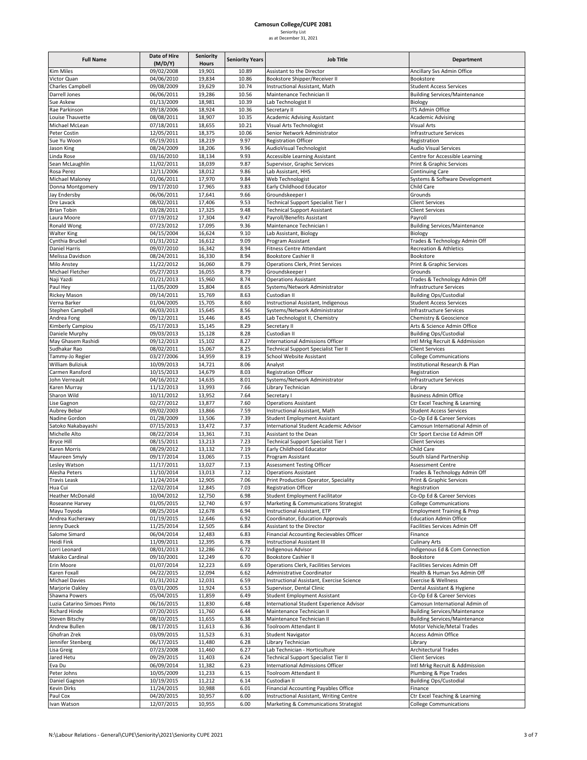### **Camosun College/CUPE 2081** Seniority List

| as at December 31, 2021 |  |
|-------------------------|--|

| <b>Full Name</b>                     | Date of Hire<br>(M/D/Y)  | Seniority<br>Hours | <b>Seniority Years</b> | <b>Job Title</b>                                                | Department                                                                   |
|--------------------------------------|--------------------------|--------------------|------------------------|-----------------------------------------------------------------|------------------------------------------------------------------------------|
| <b>Kim Miles</b>                     | 09/02/2008               | 19,901             | 10.89                  | Assistant to the Director                                       | Ancillary Svs Admin Office                                                   |
| Victor Quan                          | 04/06/2010               | 19,834             | 10.86                  | Bookstore Shipper/Receiver II                                   | Bookstore                                                                    |
| Charles Campbell                     | 09/08/2009               | 19,629             | 10.74                  | Instructional Assistant, Math                                   | <b>Student Access Services</b>                                               |
| Darrell Jones                        | 06/06/2011               | 19,286             | 10.56                  | Maintenance Technician II                                       | <b>Building Services/Maintenance</b>                                         |
| Sue Askew                            | 01/13/2009               | 18,981             | 10.39                  | Lab Technologist II                                             | Biology                                                                      |
| Rae Parkinson                        | 09/18/2006               | 18,924             | 10.36                  | Secretary II                                                    | ITS Admin Office                                                             |
| Louise Thauvette                     | 08/08/2011               | 18,907             | 10.35                  | <b>Academic Advising Assistant</b>                              | <b>Academic Advising</b>                                                     |
| Michael McLean                       | 07/18/2011               | 18,655             | 10.21                  | Visual Arts Technologist                                        | Visual Arts                                                                  |
| Peter Costin<br>Sue Yu Woon          | 12/05/2011<br>05/19/2011 | 18,375<br>18,219   | 10.06<br>9.97          | Senior Network Administrator<br><b>Registration Officer</b>     | Infrastructure Services<br>Registration                                      |
| Jason King                           | 08/24/2009               | 18,206             | 9.96                   | AudioVisual Technologist                                        | <b>Audio Visual Services</b>                                                 |
| Linda Rose                           | 03/16/2010               | 18,134             | 9.93                   | Accessible Learning Assistant                                   | Centre for Accessible Learning                                               |
| Sean McLaughlin                      | 11/02/2011               | 18,039             | 9.87                   | Supervisor, Graphic Services                                    | Print & Graphic Services                                                     |
| Rosa Perez                           | 12/11/2006               | 18,012             | 9.86                   | Lab Assistant, HHS                                              | <b>Continuing Care</b>                                                       |
| Michael Maloney                      | 01/06/2011               | 17,970             | 9.84                   | Web Technologist                                                | Systems & Software Development                                               |
| Donna Montgomery                     | 09/17/2010               | 17,965             | 9.83                   | Early Childhood Educator                                        | Child Care                                                                   |
| Jay Endersby                         | 06/06/2011               | 17,641             | 9.66                   | Groundskeeper I                                                 | Grounds                                                                      |
| Dre Lavack                           | 08/02/2011               | 17,406             | 9.53                   | Technical Support Specialist Tier I                             | <b>Client Services</b>                                                       |
| <b>Brian Tobin</b>                   | 03/28/2011               | 17,325             | 9.48                   | <b>Technical Support Assistant</b>                              | <b>Client Services</b>                                                       |
| Laura Moore                          | 07/19/2012               | 17,304             | 9.47                   | Payroll/Benefits Assistant                                      | Payroll                                                                      |
| Ronald Wong<br><b>Walter King</b>    | 07/23/2012<br>04/15/2004 | 17,095<br>16,624   | 9.36<br>9.10           | Maintenance Technician I<br>Lab Assistant, Biology              | <b>Building Services/Maintenance</b><br>Biology                              |
| Cynthia Bruckel                      | 01/31/2012               | 16,612             | 9.09                   | Program Assistant                                               | Trades & Technology Admin Off                                                |
| Daniel Harris                        | 09/07/2010               | 16,342             | 8.94                   | <b>Fitness Centre Attendant</b>                                 | Recreation & Athletics                                                       |
| Melissa Davidson                     | 08/24/2011               | 16,330             | 8.94                   | <b>Bookstore Cashier II</b>                                     | Bookstore                                                                    |
| Milo Anstey                          | 11/22/2012               | 16,060             | 8.79                   | <b>Operations Clerk, Print Services</b>                         | Print & Graphic Services                                                     |
| Michael Fletcher                     | 05/27/2013               | 16,055             | 8.79                   | Groundskeeper I                                                 | Grounds                                                                      |
| Naji Yazdi                           | 01/21/2013               | 15,960             | 8.74                   | <b>Operations Assistant</b>                                     | Trades & Technology Admin Off                                                |
| Paul Hey                             | 11/05/2009               | 15,804             | 8.65                   | Systems/Network Administrator                                   | Infrastructure Services                                                      |
| Rickey Mason                         | 09/14/2011               | 15,769             | 8.63                   | Custodian II                                                    | <b>Building Ops/Custodial</b>                                                |
| Verna Barker                         | 01/04/2005               | 15,705             | 8.60                   | Instructional Assistant, Indigenous                             | <b>Student Access Services</b>                                               |
| Stephen Campbell                     | 06/03/2013               | 15,645             | 8.56                   | Systems/Network Administrator                                   | <b>Infrastructure Services</b>                                               |
| Andrea Fong                          | 09/12/2011               | 15,446             | 8.45                   | Lab Technologist II, Chemistry                                  | Chemistry & Geoscience                                                       |
| Kimberly Campiou                     | 05/17/2013<br>09/03/2013 | 15,145<br>15,128   | 8.29<br>8.28           | Secretary II<br>Custodian II                                    | Arts & Science Admin Office                                                  |
| Daniele Murphy<br>May Ghasem Rashidi | 09/12/2013               | 15,102             | 8.27                   | <b>International Admissions Officer</b>                         | <b>Building Ops/Custodial</b><br>Intl Mrkg Recruit & Addmission              |
| Sudhakar Rao                         | 08/02/2011               | 15,067             | 8.25                   | Technical Support Specialist Tier II                            | <b>Client Services</b>                                                       |
| Tammy-Jo Regier                      | 03/27/2006               | 14,959             | 8.19                   | School Website Assistant                                        | <b>College Communications</b>                                                |
| William Buliziuk                     | 10/09/2013               | 14,721             | 8.06                   | Analyst                                                         | Institutional Research & Plan                                                |
| Carmen Ransford                      | 10/15/2013               | 14,679             | 8.03                   | <b>Registration Officer</b>                                     | Registration                                                                 |
| John Verreault                       | 04/16/2012               | 14,635             | 8.01                   | Systems/Network Administrator                                   | Infrastructure Services                                                      |
| Karen Murray                         | 11/12/2013               | 13,993             | 7.66                   | Library Technician                                              | Library                                                                      |
| Sharon Wild                          | 10/11/2012               | 13,952             | 7.64                   | Secretary I                                                     | <b>Business Admin Office</b>                                                 |
| Lise Gagnon                          | 02/27/2012               | 13,877             | 7.60                   | <b>Operations Assistant</b>                                     | Ctr Excel Teaching & Learning                                                |
| Aubrey Bebar                         | 09/02/2003               | 13,866             | 7.59                   | Instructional Assistant, Math                                   | <b>Student Access Services</b>                                               |
| Nadine Gordon                        | 01/28/2009               | 13,506             | 7.39                   | <b>Student Employment Assistant</b>                             | Co-Op Ed & Career Services                                                   |
| Satoko Nakabayashi<br>Michelle Alto  | 07/15/2013<br>08/22/2014 | 13,472<br>13,361   | 7.37<br>7.31           | International Student Academic Advisor<br>Assistant to the Dean | Camosun International Admin of<br>Ctr Sport Exrcise Ed Admin Off             |
| <b>Bryce Hill</b>                    | 08/15/2011               | 13,213             | 7.23                   | Technical Support Specialist Tier I                             | <b>Client Services</b>                                                       |
| Karen Morris                         | 08/29/2012               | 13,132             | 7.19                   | Early Childhood Educator                                        | Child Care                                                                   |
| Maureen Smyly                        | 09/17/2014               | 13,065             | 7.15                   | Program Assistant                                               | South Island Partnership                                                     |
| Lesley Watson                        | 11/17/2011               | 13,027             | 7.13                   | <b>Assessment Testing Officer</b>                               | <b>Assessment Centre</b>                                                     |
| Alesha Peters                        | 11/10/2014               | 13,013             | 7.12                   | <b>Operations Assistant</b>                                     | Trades & Technology Admin Off                                                |
| <b>Travis Leask</b>                  | 11/24/2014               | 12,905             | 7.06                   | Print Production Operator, Speciality                           | Print & Graphic Services                                                     |
| Hua Cui                              | 12/02/2014               | 12,845             | 7.03                   | <b>Registration Officer</b>                                     | Registration                                                                 |
| <b>Heather McDonald</b>              | 10/04/2012               | 12,750             | 6.98                   | Student Employment Facilitator                                  | Co-Op Ed & Career Services                                                   |
| Roseanne Harvey                      | 01/05/2015               | 12,740             | 6.97                   | Marketing & Communications Strategist                           | <b>College Communications</b>                                                |
| Mayu Toyoda                          | 08/25/2014               | 12,678             | 6.94                   | Instructional Assistant, ETP                                    | <b>Employment Training &amp; Prep</b>                                        |
| Andrea Kucherawy<br>Jenny Dueck      | 01/19/2015<br>11/25/2014 | 12,646<br>12,505   | 6.92<br>6.84           | Coordinator, Education Approvals<br>Assistant to the Director   | <b>Education Admin Office</b><br>Facilities Services Admin Off               |
| Salome Simard                        | 06/04/2014               | 12,483             | 6.83                   | Financial Accounting Recievables Officer                        | Finance                                                                      |
| Heidi Fink                           | 11/09/2011               | 12,395             | 6.78                   | <b>Instructional Assistant III</b>                              | Culinary Arts                                                                |
| Lorri Leonard                        | 08/01/2013               | 12,286             | 6.72                   | <b>Indigenous Advisor</b>                                       | Indigenous Ed & Com Connection                                               |
| Makiko Cardinal                      | 09/10/2001               | 12,249             | 6.70                   | <b>Bookstore Cashier II</b>                                     | Bookstore                                                                    |
| Erin Moore                           | 01/07/2014               | 12,223             | 6.69                   | Operations Clerk, Facilities Services                           | Facilities Services Admin Off                                                |
| Karen Foxall                         | 04/22/2015               | 12,094             | 6.62                   | Administrative Coordinator                                      | Health & Human Svs Admin Off                                                 |
| Michael Davies                       | 01/31/2012               | 12,031             | 6.59                   | Instructional Assistant, Exercise Science                       | <b>Exercise &amp; Wellness</b>                                               |
| Marjorie Oakley                      | 03/01/2005               | 11,924             | 6.53                   | Supervisor, Dental Clinic                                       | Dental Assistant & Hygiene                                                   |
| Shawna Powers                        | 05/04/2015               | 11,859             | 6.49                   | <b>Student Employment Assistant</b>                             | Co-Op Ed & Career Services                                                   |
| Luzia Catarino Simoes Pinto          | 06/16/2015               | 11,830             | 6.48                   | International Student Experience Advisor                        | Camosun International Admin of                                               |
| Richard Hinde                        | 07/20/2015<br>08/10/2015 | 11,760             | 6.44<br>6.38           | Maintenance Technician II                                       | <b>Building Services/Maintenance</b><br><b>Building Services/Maintenance</b> |
| Steven Bitschy<br>Andrew Bullen      | 08/17/2015               | 11,655<br>11,613   | 6.36                   | Maintenance Technician II<br>Toolroom Attendant II              | Motor Vehicle/Metal Trades                                                   |
| Ghofran Zrek                         | 03/09/2015               | 11,523             | 6.31                   | <b>Student Navigator</b>                                        | Access Admin Office                                                          |
| Jennifer Stenberg                    | 06/17/2015               | 11,480             | 6.28                   | Library Technician                                              | Library                                                                      |
| Lisa Greig                           | 07/23/2008               | 11,460             | 6.27                   | Lab Technician - Horticulture                                   | <b>Architectural Trades</b>                                                  |
| Jared Hetu                           | 09/29/2015               | 11,403             | 6.24                   | Technical Support Specialist Tier II                            | <b>Client Services</b>                                                       |
| Eva Du                               | 06/09/2014               | 11,382             | 6.23                   | International Admissions Officer                                | Intl Mrkg Recruit & Addmission                                               |
| Peter Johns                          | 10/05/2009               | 11,233             | 6.15                   | Toolroom Attendant II                                           | Plumbing & Pipe Trades                                                       |
| Daniel Gagnon                        | 10/19/2015               | 11,212             | 6.14                   | Custodian II                                                    | <b>Building Ops/Custodial</b>                                                |
| <b>Kevin Dirks</b>                   | 11/24/2015               | 10,988             | 6.01                   | Financial Accounting Payables Office                            | Finance                                                                      |
| Paul Cox                             | 04/20/2015               | 10,957             | 6.00                   | Instructional Assistant, Writing Centre                         | Ctr Excel Teaching & Learning                                                |
| Ivan Watson                          | 12/07/2015               | 10,955             | 6.00                   | Marketing & Communications Strategist                           | <b>College Communications</b>                                                |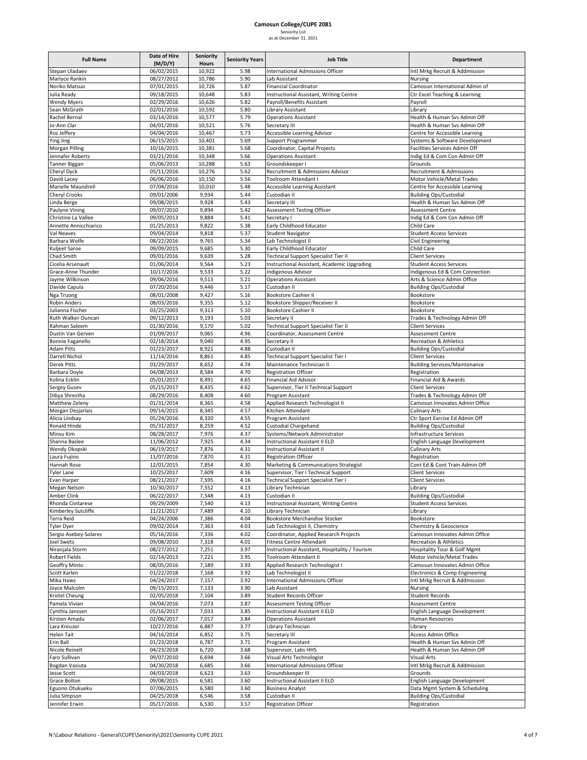|  | --------               |  |  |
|--|------------------------|--|--|
|  | is at December 31, 20. |  |  |

| <b>Full Name</b>                        | Date of Hire<br>(M/D/Y)  | <b>Seniority</b><br>Hours | <b>Seniority Years</b> | <b>Job Title</b>                                                        | Department                                                      |
|-----------------------------------------|--------------------------|---------------------------|------------------------|-------------------------------------------------------------------------|-----------------------------------------------------------------|
| Stepan Uladaev                          | 06/02/2015               | 10,922                    | 5.98                   | <b>International Admissions Officer</b>                                 | Intl Mrkg Recruit & Addmission                                  |
| Marlyce Rankin                          | 08/27/2012               | 10,786                    | 5.90                   | Lab Assistant                                                           | Nursing                                                         |
| Noriko Matsuo                           | 07/01/2015               | 10,726                    | 5.87                   | <b>Financial Coordinator</b>                                            | Camosun International Admin of                                  |
| Julia Ready                             | 09/18/2015               | 10,648                    | 5.83                   | Instructional Assistant, Writing Centre                                 | Ctr Excel Teaching & Learning                                   |
| <b>Wendy Myers</b>                      | 02/29/2016               | 10,626                    | 5.82                   | Payroll/Benefits Assistant                                              | Payroll                                                         |
| Sean McGrath                            | 02/01/2016               | 10,592                    | 5.80                   | Library Assistant                                                       | Library                                                         |
| Rachel Bernal                           | 03/14/2016               | 10,577                    | 5.79                   | <b>Operations Assistant</b>                                             | Health & Human Svs Admin Off                                    |
| Jo-Ann Clar                             | 04/01/2016               | 10,521                    | 5.76                   | Secretary III                                                           | Health & Human Svs Admin Off                                    |
| Roz Jeffery                             | 04/04/2016               | 10,467                    | 5.73                   | Accessible Learning Advisor                                             | Centre for Accessible Learning                                  |
| <b>Ying Jing</b>                        | 06/15/2015<br>10/16/2015 | 10,401<br>10,381          | 5.69<br>5.68           | Support Programmer                                                      | Systems & Software Development<br>Facilities Services Admin Off |
| Morgan Pilling<br>Jennafer Roberts      | 03/21/2016               | 10,348                    | 5.66                   | Coordinator, Capital Projects<br><b>Operations Assistant</b>            | Indig Ed & Com Con Admin Off                                    |
| Tanner Biggan                           | 05/06/2013               | 10,288                    | 5.63                   | Groundskeeper I                                                         | Grounds                                                         |
| Cheryl Dyck                             | 05/11/2016               | 10,276                    | 5.62                   | Recruitment & Admissions Advisor                                        | <b>Recruitment &amp; Admissions</b>                             |
| David Lacey                             | 06/06/2016               | 10,150                    | 5.56                   | Toolroom Attendant I                                                    | Motor Vehicle/Metal Trades                                      |
| Marielle Maundrell                      | 07/04/2016               | 10,010                    | 5.48                   | Accessible Learning Assistant                                           | Centre for Accessible Learning                                  |
| Cheryl Crooks                           | 09/01/2006               | 9,934                     | 5.44                   | Custodian II                                                            | <b>Building Ops/Custodial</b>                                   |
| Linda Berge                             | 09/08/2015               | 9,928                     | 5.43                   | Secretary III                                                           | Health & Human Svs Admin Off                                    |
| Paulyne Vining                          | 09/07/2010               | 9,894                     | 5.42                   | Assessment Testing Officer                                              | <b>Assessment Centre</b>                                        |
| Christine La Vallee                     | 09/05/2013               | 9,884                     | 5.41                   | Secretary I                                                             | Indig Ed & Com Con Admin Off                                    |
| Annette Annicchiarico                   | 01/25/2013               | 9,822                     | 5.38                   | Early Childhood Educator                                                | Child Care                                                      |
| Val Neaves                              | 09/04/2014               | 9,818                     | 5.37                   | Student Navigator                                                       | <b>Student Access Services</b>                                  |
| Barbara Wolfe                           | 08/22/2016<br>09/09/2015 | 9,765<br>9,685            | 5.34<br>5.30           | Lab Technologist II                                                     | <b>Civil Engineering</b><br>Child Care                          |
| Kuljeet Saroe<br>Chad Smith             | 09/01/2016               | 9,639                     | 5.28                   | Early Childhood Educator<br>Technical Support Specialist Tier II        | <b>Client Services</b>                                          |
| Cicelia Arsenault                       | 01/06/2014               | 9,564                     | 5.23                   | Instructional Assistant, Academic Upgrading                             | <b>Student Access Services</b>                                  |
| Grace-Anne Thunder                      | 10/17/2016               | 9,533                     | 5.22                   | Indigenous Advisor                                                      | Indigenous Ed & Com Connection                                  |
| Jayme Wilkinson                         | 09/06/2016               | 9,513                     | 5.21                   | <b>Operations Assistant</b>                                             | Arts & Science Admin Office                                     |
| Davide Capula                           | 07/20/2016               | 9,446                     | 5.17                   | Custodian II                                                            | <b>Building Ops/Custodial</b>                                   |
| Nga Truong                              | 08/01/2008               | 9,427                     | 5.16                   | <b>Bookstore Cashier II</b>                                             | Bookstore                                                       |
| <b>Robin Anders</b>                     | 08/03/2016               | 9,355                     | 5.12                   | Bookstore Shipper/Receiver II                                           | Bookstore                                                       |
| Julianna Fischer                        | 03/25/2003               | 9,313                     | 5.10                   | <b>Bookstore Cashier II</b>                                             | Bookstore                                                       |
| Ruth Walker-Duncan                      | 09/12/2013               | 9,193                     | 5.03                   | Secretary II                                                            | Trades & Technology Admin Off                                   |
| Rahman Saleem                           | 01/30/2016               | 9,170                     | 5.02                   | Technical Support Specialist Tier II                                    | <b>Client Services</b>                                          |
| Dustin Van Gerven                       | 01/09/2017               | 9,065                     | 4.96                   | Coordinator, Assessment Centre                                          | <b>Assessment Centre</b>                                        |
| Bonnie Faganello                        | 02/18/2014               | 9,040                     | 4.95                   | Secretary II                                                            | <b>Recreation &amp; Athletics</b>                               |
| <b>Adam Pitts</b><br>Darrell Nichol     | 01/23/2017<br>11/14/2016 | 8,921<br>8,861            | 4.88<br>4.85           | Custodian II<br>Technical Support Specialist Tier I                     | <b>Building Ops/Custodial</b><br><b>Client Services</b>         |
| Derek Pitts                             | 03/29/2017               | 8,652                     | 4.74                   | Maintenance Technician II                                               | <b>Building Services/Maintenance</b>                            |
| Barbara Doyle                           | 04/08/2013               | 8,584                     | 4.70                   | <b>Registration Officer</b>                                             | Registration                                                    |
| Kolina Ecklin                           | 05/01/2017               | 8,491                     | 4.65                   | <b>Financial Aid Advisor</b>                                            | Financial Aid & Awards                                          |
| Sergey Gusev                            | 05/15/2017               | 8,435                     | 4.62                   | Supervisor, Tier II Technical Support                                   | <b>Client Services</b>                                          |
| Dibya Shrestha                          | 08/29/2016               | 8,408                     | 4.60                   | Program Assistant                                                       | Trades & Technology Admin Off                                   |
| Matthew Zeleny                          | 01/31/2014               | 8,365                     | 4.58                   | Applied Research Technologist II                                        | Camosun Innovates Admin Office                                  |
| Morgan Desjarlais                       | 09/14/2015               | 8,345                     | 4.57                   | Kitchen Attendant                                                       | Culinary Arts                                                   |
| Alicia Lindsay                          | 05/24/2016               | 8,320                     | 4.55                   | Program Assistant                                                       | Ctr Sport Exrcise Ed Admin Off                                  |
| Ronald Hinde                            | 05/31/2017               | 8,259                     | 4.52                   | <b>Custodial Chargehand</b>                                             | <b>Building Ops/Custodial</b>                                   |
| Minsu Kim                               | 08/28/2017               | 7,976                     | 4.37                   | Systems/Network Administrator                                           | Infrastructure Services                                         |
| Shanna Baslee                           | 11/06/2012               | 7,925                     | 4.34                   | Instructional Assistant II ELD                                          | English Language Development                                    |
| Wendy Okopski<br>Laura Fujino           | 06/19/2017<br>11/07/2016 | 7,876                     | 4.31                   | <b>Instructional Assistant II</b>                                       | <b>Culinary Arts</b><br>Registration                            |
| Hannah Rose                             | 12/01/2015               | 7,870<br>7,854            | 4.31<br>4.30           | <b>Registration Officer</b><br>Marketing & Communications Strategist    | Cont Ed & Cont Train Admin Off                                  |
| <b>Tyler Lane</b>                       | 10/25/2017               | 7,609                     | 4.16                   | Supervisor, Tier I Technical Support                                    | <b>Client Services</b>                                          |
| Evan Harper                             | 08/21/2017               | 7,595                     | 4.16                   | <b>Technical Support Specialist Tier I</b>                              | <b>Client Services</b>                                          |
| Megan Nelson                            | 10/30/2017               | 7,552                     | 4.13                   | Library Technician                                                      | Library                                                         |
| Amber Clink                             | 06/22/2017               | 7,548                     | 4.13                   | Custodian II                                                            | <b>Building Ops/Custodial</b>                                   |
| Rhonda Civitarese                       | 09/29/2009               | 7,540                     | 4.13                   | Instructional Assistant, Writing Centre                                 | <b>Student Access Services</b>                                  |
| Kimberley Sutcliffe                     | 11/21/2017               | 7,489                     | 4.10                   | Library Technician                                                      | Library                                                         |
| <b>Terra Reid</b>                       | 04/24/2006               | 7,386                     | 4.04                   | Bookstore Merchandise Stocker                                           | Bookstore                                                       |
| <b>Tyler Dyer</b>                       | 09/02/2014               | 7,363                     | 4.03                   | Lab Technologist II, Chemistry                                          | Chemistry & Geoscience                                          |
| Sergio Asebey-Solares                   | 05/16/2016               | 7,336                     | 4.02                   | Coordinator, Applied Research Projects                                  | Camosun Innovates Admin Office                                  |
| <b>Joel Swets</b>                       | 09/08/2010               | 7,318                     | 4.01                   | <b>Fitness Centre Attendant</b>                                         | <b>Recreation &amp; Athletics</b>                               |
| Niranjala Storm<br><b>Robert Fields</b> | 08/27/2012<br>02/14/2013 | 7,251<br>7,221            | 3.97<br>3.95           | Instructional Assistant, Hospitality / Tourism<br>Toolroom Attendant II | Hospitality Tour & Golf Mgmt<br>Motor Vehicle/Metal Trades      |
| Geoffry Minto                           | 08/05/2016               | 7,189                     | 3.93                   | Applied Research Technologist I                                         | Camosun Innovates Admin Office                                  |
| Scott Karlen                            | 01/22/2018               | 7,168                     | 3.92                   | Lab Technologist II                                                     | Electronics & Comp Engineering                                  |
| Mika Haws                               | 04/24/2017               | 7,157                     | 3.92                   | International Admissions Officer                                        | Intl Mrkg Recruit & Addmission                                  |
| Joyce Malcolm                           | 09/15/2015               | 7,133                     | 3.90                   | Lab Assistant                                                           | Nursing                                                         |
| Kristel Cheung                          | 02/05/2018               | 7,104                     | 3.89                   | Student Records Officer                                                 | <b>Student Records</b>                                          |
| Pamela Vivian                           | 04/04/2016               | 7,073                     | 3.87                   | Assessment Testing Officer                                              | <b>Assessment Centre</b>                                        |
| Cynthia Janssen                         | 05/16/2017               | 7,033                     | 3.85                   | Instructional Assistant II ELD                                          | English Language Development                                    |
| Kirsten Amadu                           | 02/06/2017               | 7,017                     | 3.84                   | <b>Operations Assistant</b>                                             | Human Resources                                                 |
| Lara Kreuzer                            | 10/27/2016               | 6,887                     | 3.77                   | Library Technician                                                      | Library                                                         |
| <b>Helen Tait</b>                       | 04/16/2014               | 6,852                     | 3.75                   | Secretary III                                                           | <b>Access Admin Office</b>                                      |
| Erin Ball                               | 01/23/2018               | 6,787                     | 3.71                   | Program Assistant                                                       | Health & Human Svs Admin Off                                    |
| Nicole Reinelt                          | 04/23/2018               | 6,720                     | 3.68                   | Supervisor, Labs HHS                                                    | Health & Human Svs Admin Off                                    |
| Faro Sullivan                           | 09/07/2010               | 6,694                     | 3.66                   | Visual Arts Technologist                                                | Visual Arts                                                     |
| Bogdan Vasiuta                          | 04/30/2018<br>04/03/2018 | 6,685                     | 3.66                   | International Admissions Officer<br>Groundskeeper III                   | Intl Mrkg Recruit & Addmission<br>Grounds                       |
| <b>Jesse Scott</b><br>Grace Bolton      | 09/08/2015               | 6,623<br>6,581            | 3.63<br>3.60           | Instructional Assistant II ELD                                          | English Language Development                                    |
| Eguono Otukueku                         | 07/06/2015               | 6,580                     | 3.60                   | <b>Business Analyst</b>                                                 | Data Mgmt System & Scheduling                                   |
| Julia Simpson                           | 04/25/2018               | 6,546                     | 3.58                   | Custodian II                                                            | <b>Building Ops/Custodial</b>                                   |
| Jennifer Erwin                          | 05/17/2016               | 6,530                     | 3.57                   | <b>Registration Officer</b>                                             | Registration                                                    |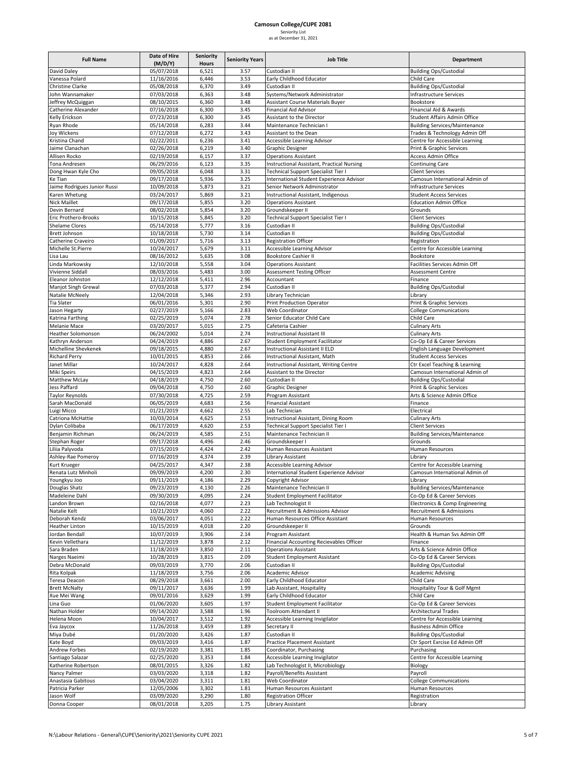### **Camosun College/CUPE 2081**

|  | Seniority List          |  |
|--|-------------------------|--|
|  | as at December 31. 2021 |  |

| <b>Full Name</b>                       | Date of Hire<br>(M/D/Y)  | <b>Seniority</b><br><b>Hours</b> | <b>Seniority Years</b> | <b>Job Title</b>                                                            | Department                                                       |
|----------------------------------------|--------------------------|----------------------------------|------------------------|-----------------------------------------------------------------------------|------------------------------------------------------------------|
| David Daley                            | 05/07/2018               | 6,521                            | 3.57                   | Custodian II                                                                | <b>Building Ops/Custodial</b>                                    |
| Vanessa Polard                         | 11/16/2016               | 6,446                            | 3.53                   | Early Childhood Educator                                                    | Child Care                                                       |
| <b>Christine Clarke</b>                | 05/08/2018               | 6,370                            | 3.49                   | Custodian II                                                                | <b>Building Ops/Custodial</b>                                    |
| John Wannamaker<br>Jeffrey McQuiggan   | 07/03/2018<br>08/10/2015 | 6,363<br>6,360                   | 3.48<br>3.48           | Systems/Network Administrator<br><b>Assistant Course Materials Buyer</b>    | Infrastructure Services<br>Bookstore                             |
| Catherine Alexander                    | 07/16/2018               | 6,300                            | 3.45                   | <b>Financial Aid Advisor</b>                                                | Financial Aid & Awards                                           |
| Kelly Erickson                         | 07/23/2018               | 6,300                            | 3.45                   | Assistant to the Director                                                   | Student Affairs Admin Office                                     |
| Ryan Rhode                             | 05/14/2018               | 6,283                            | 3.44                   | Maintenance Technician I                                                    | <b>Building Services/Maintenance</b>                             |
| Joy Wickens                            | 07/12/2018               | 6,272                            | 3.43                   | Assistant to the Dean                                                       | Trades & Technology Admin Off                                    |
| Kristina Chand                         | 02/22/2011               | 6,236                            | 3.41                   | Accessible Learning Advisor                                                 | Centre for Accessible Learning                                   |
| Jaime Clanachan<br>Allisen Rocko       | 02/26/2018<br>02/19/2018 | 6,219<br>6,157                   | 3.40<br>3.37           | Graphic Designer<br><b>Operations Assistant</b>                             | Print & Graphic Services<br><b>Access Admin Office</b>           |
| Tona Andresen                          | 06/29/2016               | 6,123                            | 3.35                   | Instructional Assistant, Practical Nursing                                  | <b>Continuing Care</b>                                           |
| Dong Hwan Kyle Cho                     | 09/05/2018               | 6,048                            | 3.31                   | Technical Support Specialist Tier I                                         | <b>Client Services</b>                                           |
| Ke Tian                                | 09/17/2018               | 5,936                            | 3.25                   | International Student Experience Advisor                                    | Camosun International Admin of                                   |
| Jaime Rodrigues Junior Russi           | 10/09/2018               | 5,873                            | 3.21                   | Senior Network Administrator                                                | <b>Infrastructure Services</b>                                   |
| Karen Whetung<br>Nick Maillet          | 03/24/2017<br>09/17/2018 | 5,869<br>5,855                   | 3.21<br>3.20           | Instructional Assistant, Indigenous<br><b>Operations Assistant</b>          | <b>Student Access Services</b><br><b>Education Admin Office</b>  |
| Devin Bernard                          | 08/02/2018               | 5,854                            | 3.20                   | Groundskeeper II                                                            | Grounds                                                          |
| Eric Prothero-Brooks                   | 10/15/2018               | 5,845                            | 3.20                   | Technical Support Specialist Tier I                                         | <b>Client Services</b>                                           |
| Shelame Clores                         | 05/14/2018               | 5,777                            | 3.16                   | Custodian II                                                                | <b>Building Ops/Custodial</b>                                    |
| <b>Brett Johnson</b>                   | 10/18/2018               | 5,730                            | 3.14                   | Custodian II                                                                | <b>Building Ops/Custodial</b>                                    |
| Catherine Craveiro                     | 01/09/2017               | 5,716                            | 3.13                   | <b>Registration Officer</b>                                                 | Registration                                                     |
| Michelle St.Pierre<br>Lisa Lau         | 10/24/2017<br>08/16/2012 | 5,679<br>5,635                   | 3.11<br>3.08           | Accessible Learning Advisor<br>Bookstore Cashier II                         | Centre for Accessible Learning<br>Bookstore                      |
| Linda Markowsky                        | 12/10/2018               | 5,558                            | 3.04                   | <b>Operations Assistant</b>                                                 | Facilities Services Admin Off                                    |
| Vivienne Siddall                       | 08/03/2016               | 5,483                            | 3.00                   | Assessment Testing Officer                                                  | <b>Assessment Centre</b>                                         |
| Eleanor Johnston                       | 12/12/2018               | 5,411                            | 2.96                   | Accountant                                                                  | Finance                                                          |
| Manjot Singh Grewal                    | 07/03/2018               | 5,377                            | 2.94                   | Custodian II                                                                | <b>Building Ops/Custodial</b>                                    |
| Natalie McNeely                        | 12/04/2018               | 5,346                            | 2.93                   | Library Technician                                                          | Library                                                          |
| <b>Tia Slater</b>                      | 06/01/2016<br>02/27/2019 | 5,301                            | 2.90                   | Print Production Operator<br>Web Coordinator                                | Print & Graphic Services                                         |
| Jason Hegarty<br>Katrina Farthing      | 02/25/2019               | 5,166<br>5,074                   | 2.83<br>2.78           | Senior Educator Child Care                                                  | <b>College Communications</b><br>Child Care                      |
| Melanie Mace                           | 03/20/2017               | 5,015                            | 2.75                   | Cafeteria Cashier                                                           | <b>Culinary Arts</b>                                             |
| Heather Solomonson                     | 06/24/2002               | 5,014                            | 2.74                   | Instructional Assistant III                                                 | <b>Culinary Arts</b>                                             |
| Kathryn Anderson                       | 04/24/2019               | 4,886                            | 2.67                   | Student Employment Facilitator                                              | Co-Op Ed & Career Services                                       |
| Michelline Shevkenek                   | 09/18/2015               | 4,880                            | 2.67                   | Instructional Assistant II ELD                                              | English Language Development                                     |
| <b>Richard Perry</b>                   | 10/01/2015               | 4,853                            | 2.66                   | Instructional Assistant, Math                                               | <b>Student Access Services</b>                                   |
| Janet Millar<br>Miki Speirs            | 10/24/2017<br>04/15/2019 | 4,828<br>4,823                   | 2.64<br>2.64           | Instructional Assistant, Writing Centre<br>Assistant to the Director        | Ctr Excel Teaching & Learning<br>Camosun International Admin of  |
| Matthew McLay                          | 04/18/2019               | 4,750                            | 2.60                   | Custodian II                                                                | <b>Building Ops/Custodial</b>                                    |
| Jess Paffard                           | 09/04/2018               | 4,750                            | 2.60                   | Graphic Designer                                                            | Print & Graphic Services                                         |
| <b>Taylor Reynolds</b>                 | 07/30/2018               | 4,725                            | 2.59                   | Program Assistant                                                           | Arts & Science Admin Office                                      |
| Sarah MacDonald                        | 06/05/2019               | 4,683                            | 2.56                   | <b>Financial Assistant</b>                                                  | Finance                                                          |
| Luigi Micco<br>Catriona McHattie       | 01/21/2019<br>10/03/2014 | 4,662                            | 2.55<br>2.53           | Lab Technician                                                              | Electrical                                                       |
| Dylan Colibaba                         | 06/17/2019               | 4,625<br>4,620                   | 2.53                   | Instructional Assistant, Dining Room<br>Technical Support Specialist Tier I | Culinary Arts<br><b>Client Services</b>                          |
| Benjamin Richman                       | 06/24/2019               | 4,585                            | 2.51                   | Maintenance Technician II                                                   | <b>Building Services/Maintenance</b>                             |
| Stephan Roger                          | 09/17/2018               | 4,496                            | 2.46                   | Groundskeeper I                                                             | Grounds                                                          |
| Liliia Palyvoda                        | 07/15/2019               | 4,424                            | 2.42                   | Human Resources Assistant                                                   | Human Resources                                                  |
| Ashley-Rae Pomeroy                     | 07/16/2019               | 4,374                            | 2.39                   | Library Assistant                                                           | Library                                                          |
| Kurt Krueger<br>Renata Lutz Minholi    | 04/25/2017<br>09/09/2019 | 4,347<br>4,200                   | 2.38<br>2.30           | Accessible Learning Advisor<br>International Student Experience Advisor     | Centre for Accessible Learning<br>Camosun International Admin of |
| Youngkyu Joo                           | 09/11/2019               | 4,186                            | 2.29                   | Copyright Advisor                                                           | Library                                                          |
| Douglas Shatz                          | 09/23/2019               | 4,130                            | 2.26                   | Maintenance Technician II                                                   | <b>Building Services/Maintenance</b>                             |
| Madeleine Dahl                         | 09/30/2019               | 4,095                            | 2.24                   | <b>Student Employment Facilitator</b>                                       | Co-Op Ed & Career Services                                       |
| Landon Brown                           | 02/16/2018               | 4,077                            | 2.23                   | Lab Technologist II                                                         | Electronics & Comp Engineering                                   |
| Natalie Kelt                           | 10/21/2019               | 4,060                            | 2.22                   | Recruitment & Admissions Advisor                                            | Recruitment & Admissions                                         |
| Deborah Kendz<br><b>Heather Linton</b> | 03/06/2017<br>10/15/2019 | 4,051<br>4,018                   | 2.22<br>2.20           | Human Resources Office Assistant<br>Groundskeeper II                        | Human Resources<br>Grounds                                       |
| Jordan Bendall                         | 10/07/2019               | 3,906                            | 2.14                   | Program Assistant                                                           | Health & Human Svs Admin Off                                     |
| Kevin Vellethara                       | 11/12/2019               | 3,878                            | 2.12                   | <b>Financial Accounting Recievables Officer</b>                             | Finance                                                          |
| Sara Braden                            | 11/18/2019               | 3,850                            | 2.11                   | <b>Operations Assistant</b>                                                 | Arts & Science Admin Office                                      |
| Narges Naeimi                          | 10/28/2019               | 3,815                            | 2.09                   | Student Employment Assistant                                                | Co-Op Ed & Career Services                                       |
| Debra McDonald                         | 09/03/2019               | 3,770                            | 2.06                   | Custodian II                                                                | <b>Building Ops/Custodial</b>                                    |
| Rita Kolpak                            | 11/18/2019<br>08/29/2018 | 3,756                            | 2.06                   | Academic Advisor<br>Early Childhood Educator                                | <b>Academic Advising</b>                                         |
| Teresa Deacon<br><b>Brett McNalty</b>  | 09/11/2017               | 3,661<br>3,636                   | 2.00<br>1.99           | Lab Assistant, Hospitality                                                  | Child Care<br>Hospitality Tour & Golf Mgmt                       |
| Xue Mei Wang                           | 09/01/2016               | 3,629                            | 1.99                   | Early Childhood Educator                                                    | Child Care                                                       |
| Lina Guo                               | 01/06/2020               | 3,605                            | 1.97                   | Student Employment Facilitator                                              | Co-Op Ed & Career Services                                       |
| Nathan Holder                          | 09/14/2020               | 3,588                            | 1.96                   | Toolroom Attendant II                                                       | <b>Architectural Trades</b>                                      |
| Helena Moon                            | 10/04/2017               | 3,512                            | 1.92                   | Accessible Learning Invigilator                                             | Centre for Accessible Learning                                   |
| Eva Jaycox                             | 11/26/2018               | 3,459                            | 1.89                   | Secretary II                                                                | <b>Business Admin Office</b>                                     |
| Miya Dubé<br>Kate Boyd                 | 01/20/2020<br>09/03/2019 | 3,426<br>3,416                   | 1.87<br>1.87           | Custodian II<br><b>Practice Placement Assistant</b>                         | <b>Building Ops/Custodial</b><br>Ctr Sport Exrcise Ed Admin Off  |
| Andrew Forbes                          | 02/19/2020               | 3,381                            | 1.85                   | Coordinator, Purchasing                                                     | Purchasing                                                       |
| Santiago Salazar                       | 02/25/2020               | 3,353                            | 1.84                   | Accessible Learning Invigilator                                             | Centre for Accessible Learning                                   |
| Katherine Robertson                    | 08/01/2015               | 3,326                            | 1.82                   | Lab Technologist II, Microbiology                                           | Biology                                                          |
| Nancy Palmer                           | 03/03/2020               | 3,318                            | 1.82                   | Payroll/Benefits Assistant                                                  | Payroll                                                          |
| Anastasia Gabitous                     | 03/04/2020               | 3,311                            | 1.81                   | Web Coordinator                                                             | <b>College Communications</b>                                    |
| Patricia Parker<br>Jason Wolf          | 12/05/2006<br>03/09/2020 | 3,302<br>3,290                   | 1.81<br>1.80           | Human Resources Assistant<br><b>Registration Officer</b>                    | <b>Human Resources</b><br>Registration                           |
| Donna Cooper                           | 08/01/2018               | 3,205                            | 1.75                   | Library Assistant                                                           | Library                                                          |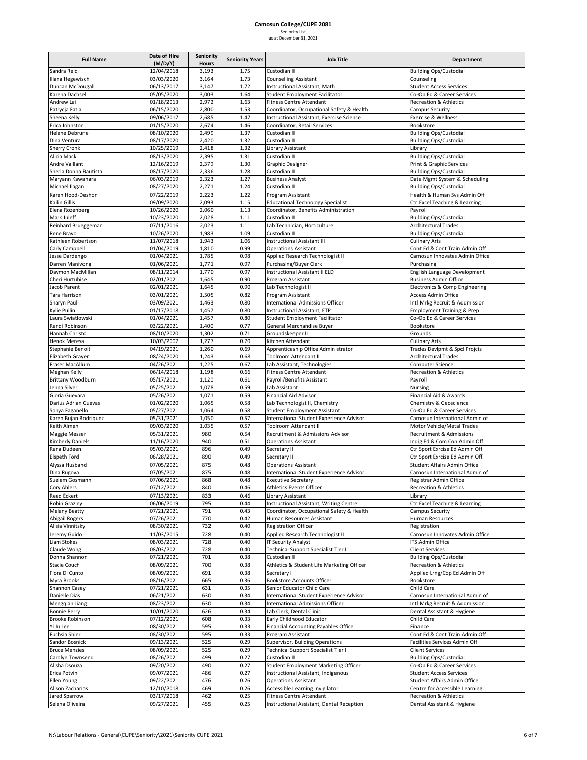### **Camosun College/CUPE 2081** Seniority List

### as at December 31, 2021 **Full Name Date of Hire (M/D/Y) Seniority Hours Seniority Years Job Title Department** Sandra Reid 12/04/2018 3,193 1.75 Custodian II Building Ops/Custodial Iliana Hegewisch 03/03/2020 3,164 1.73 Counselling Assistant Counseling Duncan McDougall **1988** 106/13/2017 1.72 Instructional Assistant, Math Student Access Services<br>1.64 Islam Student Facilitator Co-Op Ed & Career Services Karena Dachsel 05/05/2020 3,003 1.64 Student Employment Facilitator Co‐Op Ed & Career Services Andrew Lai **1.63 Communist Communist Communist Communist Communist Communist Communist Communist Communist Communist Communist Communist Communist Communist Communist Communist Communist Communist Communist Communist Commu** Patrycia Fatla Campus Security (06/15/2020 2,800 1.53 Coordinator, Occupational Safety & Health Campus Security Sheena Kelly **1.48 Celly 1.47 Instructional Assistant**, Exercise Science Exercise & Wellness Communisty Cellenss Erica Johnston 01/15/2020 2,674 1.46 Coordinator, Retail Services Bookstore Helene Debrune **18/10/2020** 2,499 1.37 Custodian II Building Ops/Custodial Building Ops/Custodial Dina Ventura 08/17/2020 2,420 1.32 Custodian II Building Ops/Custodial Sherry Cronk 10/25/2019 2,418 1.32 Library Assistant Library Cronk Library Assistant Alicia Mack 1992 12,395 1.31 Custodian II Building Ops/Custodial Andre Vallant 12/16/2019 2.379 1.30 Craphic Service<br>Andre Vaillant 12/16/2019 2.379 1.30 Graphic Designer 12/16/2019 2,379 1.30 Graphic Designer Print & Graphic Services Sherla Donna Bautista 198/17/2020 2,336 1.28 Custodian II Building Ops/Custodial Building Ops/Custodial 1.28 Custodian II Building Ops/Custodial 1.27 Business Analyst Maryann Kawahara **206/03/2019** 2,323 1.27 Business Analyst Data Mgmt System & Scheduling Michael Ilagan **1.24 I.aga | 2,271 | 1.24 | Custodian II** Building Ops/Custodial Building Ops/Custodial Karen Hood‐Deshon **1.22 1.22 1.223 1.22 Program Assistant** Health & Human Svs Admin Off Kailin Gillis 09/09/2020 2,093 1.15 Educational Technology Specialist Ctr Excel Teaching & Learning Coordinator, Benefits Administration Payroll Mark Juleff 10/23/2020 2,028 1.11 Custodian II Building Ops/Custodial Building Ops/Custodial 1<br>1.11 Lab Technician, Horticulture 1996 Architectural Trades 07/11/2016 2,023 1.11 Lab Technician, Horticulture<br>10/26/2020 1,983 1.09 Custodian II Rene Bravo 10/26/2020 1,983 1.09 Custodian II Building Ops/Custodial Kathleen Robertson 11/07/2018 1,943 1.06 Instructional Assistant III Culinary Arts<br>Carly Campbell 2010 1/04/2019 1,810 0.99 Operations Assistant Carly Campbell **1,810** 1,810 0.99 Operations Assistant Cont Ed & Cont Train Admin Off Cont Ed & Cont Train Admin Off Jesse Dardengo 1992 1,000 1/04/2021 1,785 0.98 Applied Research Technologist II Camosun Innovates Admin Office<br>Darren Manivong 1992 01/06/2021 1.771 0.97 Purchasing/Buver Clerk Darren Manivong 01/06/2021 1,771 0.97 Purchasing/Buyer Clerk Purchasing Daymon MacMillan 
2011/2014 1,770 0.97 Instructional Assistant II ELD English Language Development<br>
20201/2021 1.645 0.90 Program Assistant II ELD Business Admin Office Cheri Hurtubise 02/01/2021 1,645 0.90 Program Assistant Business Admin Office Jacob Parent 1,602/01/2021 | 1,645 | 0.90 Lab Technologist II | Electronics & Comp Engineering Tara Harrison **1980** 1,505 0.82 Program Assistant Access Admin Office Sharyn Paul **1,463** 03/09/2021 1,463 0.80 International Admissions Officer **Intlumined Intl Mrkg Recruit & Addmission** Kylie Pullin Collectional Collectional Collectional Assistant, ETP Employment Training & Prep Report Training & Prep Laura Swiatlowski **1,457** 1,457 0.80 Student Employment Facilitator Co‐Op Ed & Career Services Randi Robinson **1989** 2021 1,400 0.77 General Merchandise Buyer Bookstore Hannah Christo 08/10/2020 1,302 0.71 Groundskeeper II Grounds Henok Meresa 10/03/2007 1,277 0.70 Kitchen Attendant Culinary Arts Stephanie Benoit 1,260 1,260 0.69 Apprenticeship Office Administrator Trades Devlpmt & Spcl Projcts<br>
Elizabeth Graver 1,243 0.68 Toolroom Attendant II Architectural Trades Elizabeth Grayer 08/24/2020 1,243 0.68 Toolroom Attendant II Architectural Trades Fraser MacAllum 04/26/2021 1,225 0.67 Lab Assistant, Technologies Computer Science Meghan Kelly **1,198** 1,198 0.66 Fitness Centre Attendant Recreation & Athletics Centre Attendant Brittany Woodburn **1988** 1,120 1,120 0.61 Payroll/Benefits Assistant Payroll Jenna Silver 05/25/2021 1,078 0.59 Lab Assistant Nursing Gloria Guevara **1989 - Primancial Aid Advisor** Financial Aid Advisor Financial Aid Advisor Financial Aid & Awards Darius Adrian Cuevas **1988** 1,02/2020 1,065 0.58 Lab Technologist II, Chemistry Chemistry & Geoscience 1,064 0.58 Lab Technologist II, Chemistry Chemistry & Geoscience 1,064 0.58 Connect Assistant Co-Op Ed & Career Service Sonya Faganello 05/27/2021 1,064 0.58 Student Employment Assistant Co‐Op Ed & Career Services Karen Bujan Rodriquez **1882** 05/31/2021 1,050 0.57 International Student Experience Advisor Camosun International Admin of Uniternational Admin of Uniternational Admin of Uniternational Admin of Uniternational Admin of Uni Keith Almen 1,035 09/03/2020 1,035 0.57 Toolroom Attendant II Motor Vehicle/Metal Trades Maggie Messer **1.2021 | 25/31/2021 | 980 | 0.54 Recruitment & Admissions Advisor** Recruitment & Admissions Advisor Kimberly Daniels 11/16/2020 940 0.51 Operations Assistant Indig Ed & Com Con Admin Off Rana Dudeen 05/03/2021 896 0.49 Secretary II Ctr Sport Exrcise Ed Admin Off Elspeth Ford 06/28/2021 890 0.49 Secretary II Ctr Sport Exrcise Ed Admin Off Alyssa Husband 07/05/2021 875 0.48 Operations Assistant Student Affairs Admin Office Dina Rugova Camosun International Compositor Camosun International Student Experience Advisor Camosun International Admin of Suelem Gosmann **1989** 197/06/2021 868 0.48 Executive Secretary **Registrar Admin Office** Cory Ahlers **2008 2012/2021** 840 0.46 Athletics Events Officer Recreation & Athletics Reed Eckert 07/13/2021 833 0.46 Library Assistant Library 06/06/2019 795 0.44 Instructional Assistant, Writing Centre Ctr Excel Teaching & Learning 07/21/2021 791 0.43 Coordinator, Occupational Safety & Health Campus Security Melany Beatty **1920** 1977/21/2021 791 0.43 Coordinator, Occupational Safety & Health Campus Security Abigail Rogers 07/26/2021 770 0.42 Human Resources Assistant Human Resources Alisia Vinnitsky **198/30/2021** 732 0.40 Registration Officer Registration Registration **Jeremy Guido** 11/03/2015 728 0.40 Applied Research Technologist II Camosun Innovates Admin Office Liam Stokes 08/03/2021 728 0.40 IT Security Analyst ITS Admin Office Claude Wong Claude Wong Client Services (Client Services 198/03/2021 728 0.40 Technical Support Specialist Tier I Donna Shannon **1988** Custodian II Building Ops/Custodian II Building Ops/Custodian II Building Ops/Custodian II<br>
1990/2021 700 0.38 Athletics & Student Life Marketing Officer Recreation & Athletics Stacie Couch **1888 Couch 1898 1998 1201 1200** 0.38 Athletics & Student Life Marketing Officer Recreation & Athletics Flora Di Cunto **18/09/2021** 691 0.38 Secretary I Applied Lrng/Cop Ed Admin Off **District Applied Lrng/Cop Ed Admin Off** Myra Brooks **1800 Bookstore Accounts Officer** Bookstore Accounts Officer Bookstore Accounts Officer Shannon Casey 07/21/2021 631 0.35 Senior Educator Child Care Child Care Danielle Dias **1.2021 106/21/2021 630** 0.34 International Student Experience Advisor Camosun International Admin of Mengqian Jiang **18/23/2021 630** 0.34 International Admissions Officer **Intluments** Intl Mrkg Recruit & Addmission Bonnie Perry 10/01/2020 626 0.34 Lab Clerk, Dental Clinic Clinic Dental Assistant & Hygiene Brooke Robinson 07/12/2021 608 0.33 Early Childhood Educator Child Care Yi Ju Lee 208/30/2021 595 0.33 Financial Accounting Payables Office Finance Fuchsia Shier 08/30/2021 595 0.33 Program Assistant Cont Ed & Cont Train Admin Off Sandor Bosnick 19/13/2021 525 0.29 Supervisor, Building Operations Facilities Services Admin Off<br>Bruce Menzies 2016 08/09/2021 525 0.29 Technical Support Specialist Tier I Client Services 08/09/2021 525 0.29 Technical Support Specialist Tier I Client Services Carolyn Townsend **198/26/2021 499 0.27 Custodian II** Building Ops/Custodial Building Ops/Custodial Alisha Dsouza 09/20/2021 490 0.27 Student Employment Marketing Officer Co‐Op Ed & Career Services 09/07/2021 486 0.27 Instructional Assistant, Indigenous Student Access Services Ellen Young College and the US22/2021 476 0.26 Operations Assistant Student Affairs Admin Office<br>Alison Zacharias 12/10/2018 469 0.26 Accessible Learning Invigilator Centre for Accessible Learning Alison Zacharias 12/10/2018 469 0.26 Accessible Learning Invigilator 12/10/2018 469 0.26 Accessible Learning Invigilator 19/17/2018 462 0.25 Fitness Centre Attendant Jared Sparrow **12.12 COM CONTENT ACCOMPTED ACCOMPTED ACCOMPTED ACCOMPTED ACCOMPTED ACCOMPTED ACCOMPTED ACCOMPTED ACCOMPTED ACCOMPTED ACCOMPTED ACCOMPTED ACCOMPTED ACCOMPTED ACCOMPTED ACCOMPTED ACCOMPTED ACCOMPTED ACCOMPTED**

Selena Oliveira **Calculation Contract Contract Contract Contract** O.25 Instructional Assistant, Dental Asception Dental Assistant & Hygiene